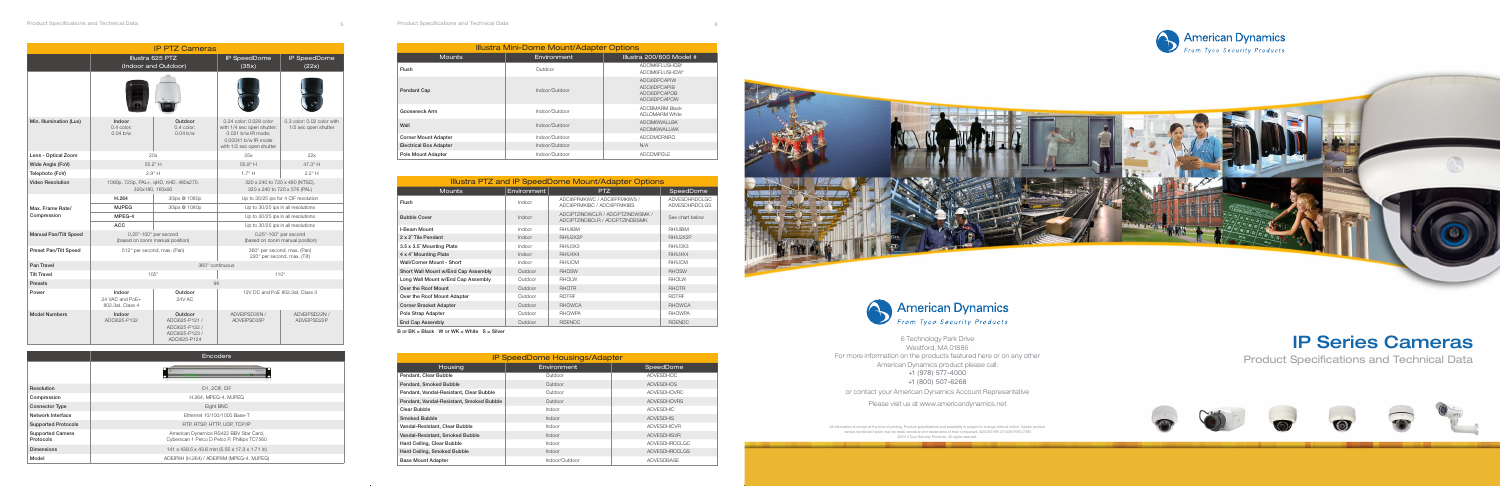## IP Series Cameras

Product Specifications and Technical Data



6 Technology Park Drive Westford, MA 01886 For more information on the products featured here or on any other American Dynamics product please call:

+1 (978) 577-4000 +1 (800) 507-6268

or contact your American Dynamics Account Representative

Please visit us at www.americandynamics.net

All information is correct at the time of printing. Product specifications and availability is subject to change without notice. Certain product<br>names mentioned herein may be trade names and/or trademarks of their companie



|                                      | <b>Encoders</b>                                                                        |  |  |  |  |  |  |  |  |  |
|--------------------------------------|----------------------------------------------------------------------------------------|--|--|--|--|--|--|--|--|--|
|                                      |                                                                                        |  |  |  |  |  |  |  |  |  |
| Resolution                           | D1, 2CIF, CIF                                                                          |  |  |  |  |  |  |  |  |  |
| Compression                          | H.264, MPEG-4, MJPEG                                                                   |  |  |  |  |  |  |  |  |  |
| <b>Connector Type</b>                | Eight BNC                                                                              |  |  |  |  |  |  |  |  |  |
| Network Interface                    | Ethernet 10/100/1000 Base-T                                                            |  |  |  |  |  |  |  |  |  |
| <b>Supported Protocols</b>           | RTP, RTSP, HTTP, UDP, TCP/IP                                                           |  |  |  |  |  |  |  |  |  |
| <b>Supported Camera</b><br>Protocols | American Dynamics RS422 BBV Star Card,<br>Cyberscan 1 Pelco D Pelco P, Phillips TC7560 |  |  |  |  |  |  |  |  |  |
| <b>Dimensions</b>                    | 141 x 439.5 x 43.6 mm (5.55 x 17.3 x 1.71 in)                                          |  |  |  |  |  |  |  |  |  |
| Model                                | ADEIP8H (H.264) / ADEIP8M (MPEG-4, MJPEG)                                              |  |  |  |  |  |  |  |  |  |

| <b>IP PTZ Cameras</b>                          |                                               |                                                                               |                                                                                                                                 |                                                    |  |  |  |  |  |  |  |
|------------------------------------------------|-----------------------------------------------|-------------------------------------------------------------------------------|---------------------------------------------------------------------------------------------------------------------------------|----------------------------------------------------|--|--|--|--|--|--|--|
|                                                | Illustra 625 PTZ                              | <b>IP</b> SpeedDome                                                           | IP SpeedDome                                                                                                                    |                                                    |  |  |  |  |  |  |  |
|                                                |                                               | (Indoor and Outdoor)                                                          | (35x)                                                                                                                           | (22x)                                              |  |  |  |  |  |  |  |
|                                                |                                               |                                                                               |                                                                                                                                 |                                                    |  |  |  |  |  |  |  |
| Min. Illumination (Lux)                        | Indoor<br>0.4 color;<br>0.04 b/w              | Outdoor<br>0.4 color;<br>0.04 b/w                                             | 0.24 color; 0.028 color<br>with 1/4 sec open shutter;<br>0.021 b/w IR mode:<br>0.00041 b/w IR mode<br>with 1/2 sec open shutter | 0.3 color; 0.02 color with<br>1/2 sec open shutter |  |  |  |  |  |  |  |
| Lens - Optical Zoom                            |                                               | 20x                                                                           | 35x                                                                                                                             | 22x                                                |  |  |  |  |  |  |  |
| Wide Angle (FoV)                               |                                               | 55.2° H                                                                       | $55.8^\circ$ H                                                                                                                  | 47.3° H                                            |  |  |  |  |  |  |  |
| Telephoto (FoV)                                |                                               | $2.9^\circ$ H                                                                 | $1.7^\circ$ H<br>$2.2^{\circ}$ H                                                                                                |                                                    |  |  |  |  |  |  |  |
| <b>Video Resolution</b>                        |                                               | 1080p, 720p, PAL+, qHD, nHD, 480x270,<br>320x180.160x90                       | 320 x 240 to 720 x 480 (NTSC),<br>320 x 240 to 720 x 576 (PAL)                                                                  |                                                    |  |  |  |  |  |  |  |
|                                                | H.264                                         | 30ips @ 1080p                                                                 |                                                                                                                                 | Up to 30/25 ips for 4 CIF resolution               |  |  |  |  |  |  |  |
| Max. Frame Rate/                               | <b>MJPEG</b>                                  | 30ips @ 1080p                                                                 |                                                                                                                                 | Up to 30/25 ips in all resolutions                 |  |  |  |  |  |  |  |
| Compression                                    | MPEG-4                                        |                                                                               |                                                                                                                                 | Up to 30/25 ips in all resolutions                 |  |  |  |  |  |  |  |
|                                                | <b>ACC</b>                                    |                                                                               |                                                                                                                                 | Up to 30/25 ips in all resolutions                 |  |  |  |  |  |  |  |
| Manual Pan/Tilt Speed                          |                                               | $0.25^{\circ}$ -100 $^{\circ}$ per second<br>(based on zoom manual position)  | 0.25°-100° per second<br>(based on zoom manual position)                                                                        |                                                    |  |  |  |  |  |  |  |
| <b>Preset Pan/Tilt Speed</b>                   |                                               | 512° per second, max. (Pan)                                                   | 360° per second, max. (Pan)<br>220° per second, max. (Tilt)                                                                     |                                                    |  |  |  |  |  |  |  |
| Pan Travel                                     |                                               |                                                                               | 360° continuous                                                                                                                 |                                                    |  |  |  |  |  |  |  |
| <b>Tilt Travel</b>                             |                                               | $105^\circ$                                                                   | $110^{\circ}$                                                                                                                   |                                                    |  |  |  |  |  |  |  |
| <b>Presets</b>                                 | 96                                            |                                                                               |                                                                                                                                 |                                                    |  |  |  |  |  |  |  |
| Power                                          | Indoor<br>24 VAC and PoE+<br>802.3at, Class 4 | Outdoor<br>24V AC                                                             | 12V DC and PoE 802.3af, Class 3                                                                                                 |                                                    |  |  |  |  |  |  |  |
| <b>Model Numbers</b><br>Indoor<br>ADCi625-P132 |                                               | Outdoor<br>ADCi625-P121 /<br>ADCi625-P122 /<br>ADCi625-P123 /<br>ADCi625-P124 | ADVEIPSD35N /<br>ADVEIPSD35P                                                                                                    | ADVEIPSD22N /<br>ADVEIPSD22P                       |  |  |  |  |  |  |  |

| Illustra Mini-Dome Mount/Adapter Options |                |                                                                            |  |  |  |  |  |  |  |  |
|------------------------------------------|----------------|----------------------------------------------------------------------------|--|--|--|--|--|--|--|--|
| <b>Mounts</b>                            | Environment    | Illustra 200/600 Model #                                                   |  |  |  |  |  |  |  |  |
| <b>Flush</b>                             | Outdoor        | ADCIM6FLUSHOB*<br>ADCIM6FLUSHOW*                                           |  |  |  |  |  |  |  |  |
| <b>Pendant Cap</b>                       | Indoor/Outdoor | ADCi6DPCAPIW<br><b>ADCI6DPCAPIB</b><br><b>ADCI6DPCAPOB</b><br>ADCI6DPCAPOW |  |  |  |  |  |  |  |  |
| Gooseneck Arm                            | Indoor/Outdoor | <b>ADCBMARM Black</b><br><b>ADLOMARM White</b>                             |  |  |  |  |  |  |  |  |
| Wall                                     | Indoor/Outdoor | ADCIM6WALLBK<br><b>ADCIM6WALLWK</b>                                        |  |  |  |  |  |  |  |  |
| <b>Corner Mount Adapter</b>              | Indoor/Outdoor | <b>ADCDMCRNRO</b>                                                          |  |  |  |  |  |  |  |  |
| <b>Electrical Box Adapter</b>            | Indoor/Outdoor | N/A                                                                        |  |  |  |  |  |  |  |  |
| <b>Pole Mount Adapter</b>                | Indoor/Outdoor | <b>ADCDMPOLE</b>                                                           |  |  |  |  |  |  |  |  |

| Illustra PTZ and IP SpeedDome Mount/Adapter Options |               |                                                                      |                                       |  |  |  |  |  |  |  |  |
|-----------------------------------------------------|---------------|----------------------------------------------------------------------|---------------------------------------|--|--|--|--|--|--|--|--|
| <b>Mounts</b>                                       | Environment   | PTZ.                                                                 | SpeedDome                             |  |  |  |  |  |  |  |  |
| <b>Flush</b>                                        | Indoor        | ADCI6PFMKIWC / ADCI6PFMKIWS /<br>ADCI6PFMKIBC / ADCI6PFMKIBS         | ADVESDHRDCLGC<br><b>ADVESDHRDCLGS</b> |  |  |  |  |  |  |  |  |
| <b>Bubble Cover</b>                                 | <b>Indoor</b> | ADCIPTZINDWCLR / ADCIPTZINDWSMK /<br>ADCIPTZINDBCLR / ADCIPTZINDBSMK | See chart below                       |  |  |  |  |  |  |  |  |
| I-Beam Mount                                        | Indoor        | <b>RHIUIBM</b>                                                       | <b>RHIUIBM</b>                        |  |  |  |  |  |  |  |  |
| 2 x 2" Tile Pendant                                 | Indoor        | RHIU2X2P                                                             | RHIU2X2P                              |  |  |  |  |  |  |  |  |
| 3.5 x 3.5" Mounting Plate                           | <b>Indoor</b> | RHIU3X3                                                              | RHIU3X3                               |  |  |  |  |  |  |  |  |
| 4 x 4" Mounting Plate                               | <b>Indoor</b> | RHIU4X4                                                              | RHIU4X4                               |  |  |  |  |  |  |  |  |
| <b>Wall/Corner Mount - Short</b>                    | Indoor        | <b>RHIUCM</b>                                                        | <b>RHIUCM</b>                         |  |  |  |  |  |  |  |  |
| Short Wall Mount w/End Cap Assembly                 | Outdoor       | <b>RHOSW</b>                                                         | <b>RHOSW</b>                          |  |  |  |  |  |  |  |  |
| Long Wall Mount w/End Cap Assembly                  | Outdoor       | <b>RHOLW</b>                                                         | <b>RHOLW</b>                          |  |  |  |  |  |  |  |  |
| Over the Roof Mount                                 | Outdoor       | <b>RHOTR</b>                                                         | <b>RHOTR</b>                          |  |  |  |  |  |  |  |  |
| Over the Roof Mount Adapter                         | Outdoor       | <b>ROTRF</b>                                                         | <b>ROTRF</b>                          |  |  |  |  |  |  |  |  |
| <b>Corner Bracket Adapter</b>                       | Outdoor       | <b>RHOWCA</b>                                                        | <b>RHOWCA</b>                         |  |  |  |  |  |  |  |  |
| Pole Strap Adapter                                  | Outdoor       | <b>RHOWPA</b>                                                        | <b>RHOWPA</b>                         |  |  |  |  |  |  |  |  |
| <b>End Cap Assembly</b>                             | Outdoor       | <b>ROENDC</b>                                                        | <b>ROENDC</b>                         |  |  |  |  |  |  |  |  |

 $B$  or  $BK = Black$  W or  $WK = White$   $S = Silver$ 

| <b>IP SpeedDome Housings/Adapter</b>     |                |                      |  |  |  |  |  |  |  |
|------------------------------------------|----------------|----------------------|--|--|--|--|--|--|--|
| Housing                                  | Environment    | SpeedDome            |  |  |  |  |  |  |  |
| Pendant, Clear Bubble                    | Outdoor        | <b>ADVESDHOC</b>     |  |  |  |  |  |  |  |
| Pendant, Smoked Bubble                   | Outdoor        | <b>ADVESDHOS</b>     |  |  |  |  |  |  |  |
| Pendant, Vandal-Resistant, Clear Bubble  | Outdoor        | <b>ADVESDHOVRC</b>   |  |  |  |  |  |  |  |
| Pendant, Vandal-Resistant, Smoked Bubble | Outdoor        | <b>ADVESDHOVRS</b>   |  |  |  |  |  |  |  |
| Clear Bubble                             | Indoor         | <b>ADVESDHIC</b>     |  |  |  |  |  |  |  |
| <b>Smoked Bubble</b>                     | Indoor         | <b>ADVESDHIS</b>     |  |  |  |  |  |  |  |
| Vandal-Resistant, Clear Bubble           | Indoor         | <b>ADVESDHICVR</b>   |  |  |  |  |  |  |  |
| Vandal-Resistant, Smoked Bubble          | Indoor         | <b>ADVESDHISVR</b>   |  |  |  |  |  |  |  |
| Hard Ceiling, Clear Bubble               | Indoor         | <b>ADVESDHRDCLGC</b> |  |  |  |  |  |  |  |
| Hard Ceiling, Smoked Bubble              | Indoor         | <b>ADVESDHRDCLGS</b> |  |  |  |  |  |  |  |
| <b>Base Mount Adapter</b>                | Indoor/Outdoor | <b>ADVESDBASE</b>    |  |  |  |  |  |  |  |

5 Product Specifications and Technical Data